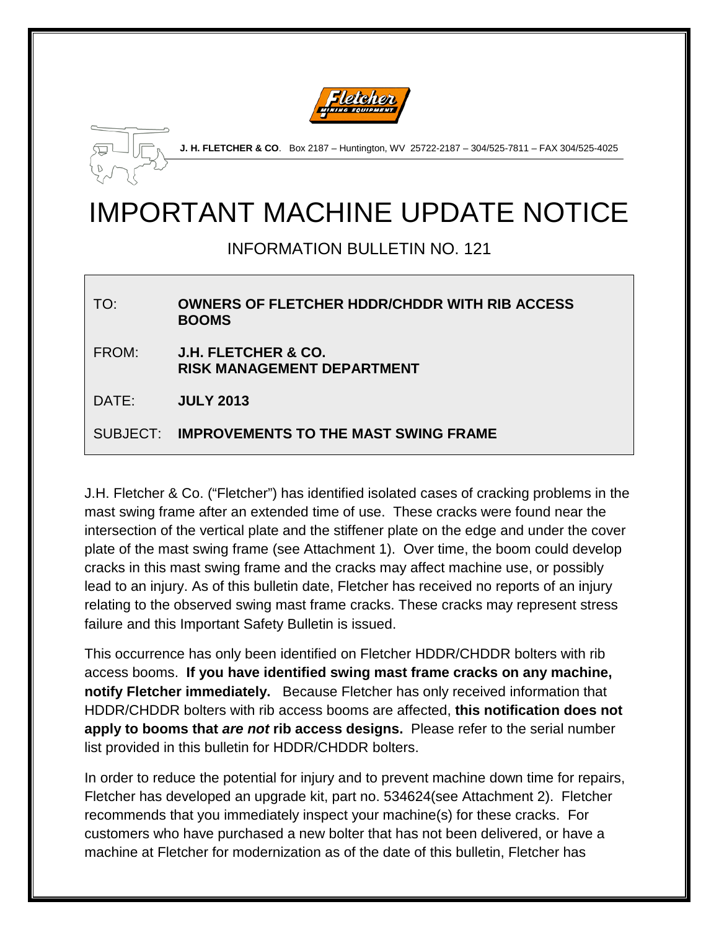



**J. H. FLETCHER & CO**. Box 2187 – Huntington, WV 25722-2187 – 304/525-7811 – FAX 304/525-4025

# IMPORTANT MACHINE UPDATE NOTICE

INFORMATION BULLETIN NO. 121

TO: **OWNERS OF FLETCHER HDDR/CHDDR WITH RIB ACCESS BOOMS** FROM: **J.H. FLETCHER & CO. RISK MANAGEMENT DEPARTMENT** DATE: **JULY 2013** SUBJECT: **IMPROVEMENTS TO THE MAST SWING FRAME**

J.H. Fletcher & Co. ("Fletcher") has identified isolated cases of cracking problems in the mast swing frame after an extended time of use. These cracks were found near the intersection of the vertical plate and the stiffener plate on the edge and under the cover plate of the mast swing frame (see Attachment 1). Over time, the boom could develop cracks in this mast swing frame and the cracks may affect machine use, or possibly lead to an injury. As of this bulletin date, Fletcher has received no reports of an injury relating to the observed swing mast frame cracks. These cracks may represent stress failure and this Important Safety Bulletin is issued.

This occurrence has only been identified on Fletcher HDDR/CHDDR bolters with rib access booms. **If you have identified swing mast frame cracks on any machine, notify Fletcher immediately.** Because Fletcher has only received information that HDDR/CHDDR bolters with rib access booms are affected, **this notification does not apply to booms that** *are not* **rib access designs.** Please refer to the serial number list provided in this bulletin for HDDR/CHDDR bolters.

In order to reduce the potential for injury and to prevent machine down time for repairs, Fletcher has developed an upgrade kit, part no. 534624(see Attachment 2). Fletcher recommends that you immediately inspect your machine(s) for these cracks. For customers who have purchased a new bolter that has not been delivered, or have a machine at Fletcher for modernization as of the date of this bulletin, Fletcher has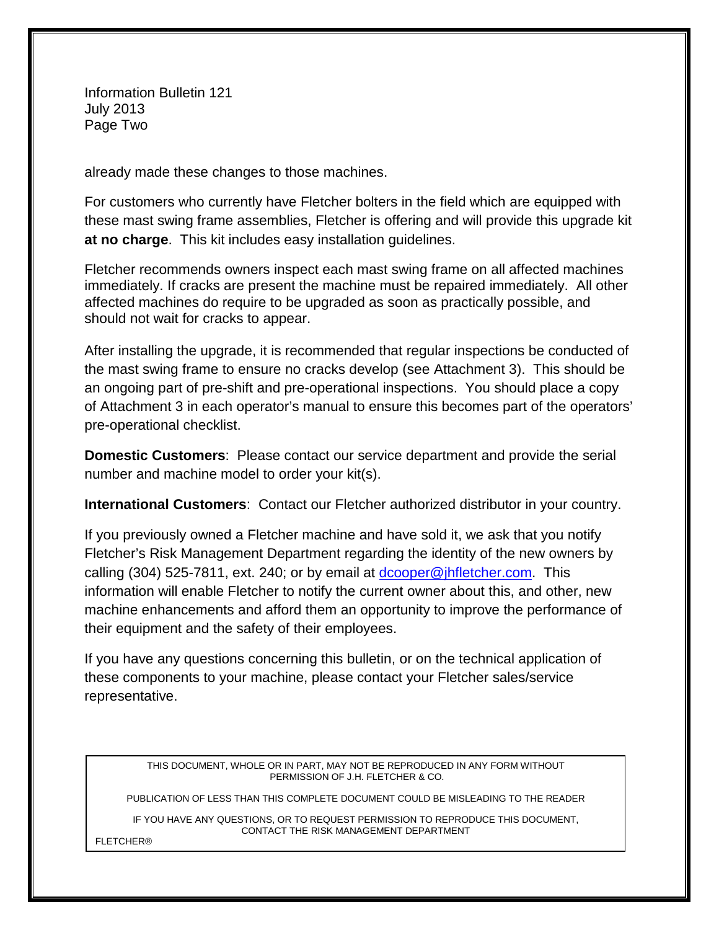Information Bulletin 121 July 2013 Page Two

already made these changes to those machines.

For customers who currently have Fletcher bolters in the field which are equipped with these mast swing frame assemblies, Fletcher is offering and will provide this upgrade kit **at no charge**. This kit includes easy installation guidelines.

Fletcher recommends owners inspect each mast swing frame on all affected machines immediately. If cracks are present the machine must be repaired immediately. All other affected machines do require to be upgraded as soon as practically possible, and should not wait for cracks to appear.

After installing the upgrade, it is recommended that regular inspections be conducted of the mast swing frame to ensure no cracks develop (see Attachment 3). This should be an ongoing part of pre-shift and pre-operational inspections. You should place a copy of Attachment 3 in each operator's manual to ensure this becomes part of the operators' pre-operational checklist.

**Domestic Customers**: Please contact our service department and provide the serial number and machine model to order your kit(s).

**International Customers**: Contact our Fletcher authorized distributor in your country.

If you previously owned a Fletcher machine and have sold it, we ask that you notify Fletcher's Risk Management Department regarding the identity of the new owners by calling (304) 525-7811, ext. 240; or by email at [dcooper@jhfletcher.com.](mailto:dcooper@jhfletcher.com) This information will enable Fletcher to notify the current owner about this, and other, new machine enhancements and afford them an opportunity to improve the performance of their equipment and the safety of their employees.

If you have any questions concerning this bulletin, or on the technical application of these components to your machine, please contact your Fletcher sales/service representative.

> THIS DOCUMENT, WHOLE OR IN PART, MAY NOT BE REPRODUCED IN ANY FORM WITHOUT PERMISSION OF J.H. FLETCHER & CO.

PUBLICATION OF LESS THAN THIS COMPLETE DOCUMENT COULD BE MISLEADING TO THE READER

IF YOU HAVE ANY QUESTIONS, OR TO REQUEST PERMISSION TO REPRODUCE THIS DOCUMENT, CONTACT THE RISK MANAGEMENT DEPARTMENT

FLETCHER®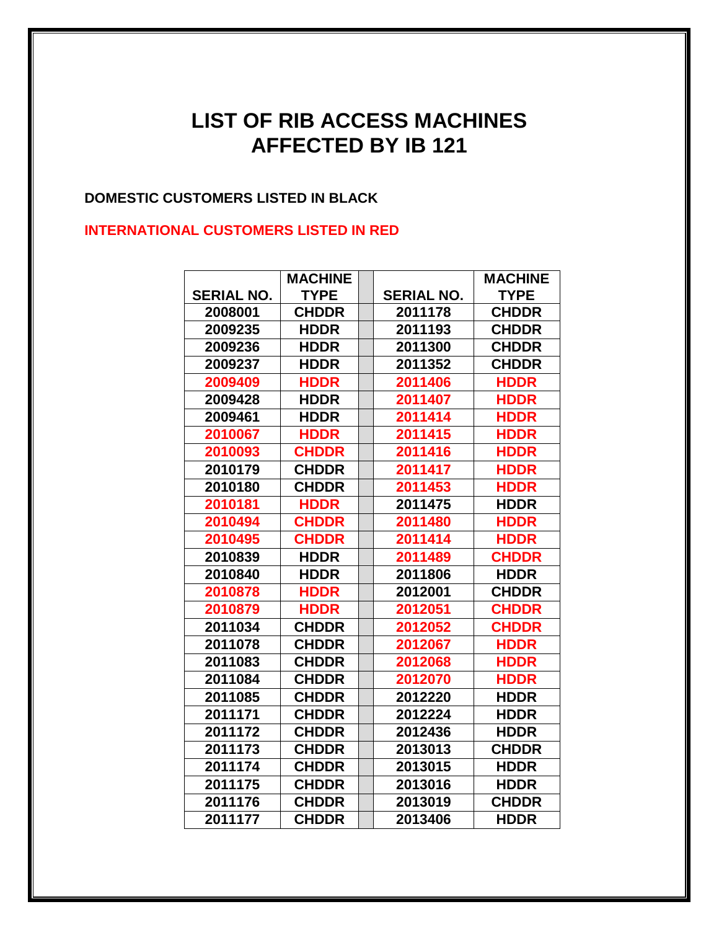## **LIST OF RIB ACCESS MACHINES AFFECTED BY IB 121**

#### **DOMESTIC CUSTOMERS LISTED IN BLACK**

#### **INTERNATIONAL CUSTOMERS LISTED IN RED**

|                   | <b>MACHINE</b> |                   | <b>MACHINE</b> |
|-------------------|----------------|-------------------|----------------|
| <b>SERIAL NO.</b> | <b>TYPE</b>    | <b>SERIAL NO.</b> | <b>TYPE</b>    |
| 2008001           | <b>CHDDR</b>   | 2011178           | <b>CHDDR</b>   |
| 2009235           | <b>HDDR</b>    | 2011193           | <b>CHDDR</b>   |
| 2009236           | <b>HDDR</b>    | 2011300           | <b>CHDDR</b>   |
| 2009237           | <b>HDDR</b>    | 2011352           | <b>CHDDR</b>   |
| 2009409           | <b>HDDR</b>    | 2011406           | <b>HDDR</b>    |
| 2009428           | <b>HDDR</b>    | 2011407           | <b>HDDR</b>    |
| 2009461           | <b>HDDR</b>    | 2011414           | <b>HDDR</b>    |
| 2010067           | <b>HDDR</b>    | 2011415           | <b>HDDR</b>    |
| 2010093           | <b>CHDDR</b>   | 2011416           | <b>HDDR</b>    |
| 2010179           | <b>CHDDR</b>   | 2011417           | <b>HDDR</b>    |
| 2010180           | <b>CHDDR</b>   | 2011453           | <b>HDDR</b>    |
| 2010181           | <b>HDDR</b>    | 2011475           | <b>HDDR</b>    |
| 2010494           | <b>CHDDR</b>   | 2011480           | <b>HDDR</b>    |
| 2010495           | <b>CHDDR</b>   | 2011414           | <b>HDDR</b>    |
| 2010839           | <b>HDDR</b>    | 2011489           | <b>CHDDR</b>   |
| 2010840           | <b>HDDR</b>    | 2011806           | <b>HDDR</b>    |
| 2010878           | <b>HDDR</b>    | 2012001           | <b>CHDDR</b>   |
| 2010879           | <b>HDDR</b>    | 2012051           | <b>CHDDR</b>   |
| 2011034           | <b>CHDDR</b>   | 2012052           | <b>CHDDR</b>   |
| 2011078           | <b>CHDDR</b>   | 2012067           | <b>HDDR</b>    |
| 2011083           | <b>CHDDR</b>   | 2012068           | <b>HDDR</b>    |
| 2011084           | <b>CHDDR</b>   | 2012070           | <b>HDDR</b>    |
| 2011085           | <b>CHDDR</b>   | 2012220           | <b>HDDR</b>    |
| 2011171           | <b>CHDDR</b>   | 2012224           | <b>HDDR</b>    |
| 2011172           | <b>CHDDR</b>   | 2012436           | <b>HDDR</b>    |
| 2011173           | <b>CHDDR</b>   | 2013013           | <b>CHDDR</b>   |
| 2011174           | <b>CHDDR</b>   | 2013015           | <b>HDDR</b>    |
| 2011175           | <b>CHDDR</b>   | 2013016           | <b>HDDR</b>    |
| 2011176           | <b>CHDDR</b>   | 2013019           | <b>CHDDR</b>   |
| 2011177           | <b>CHDDR</b>   | 2013406           | <b>HDDR</b>    |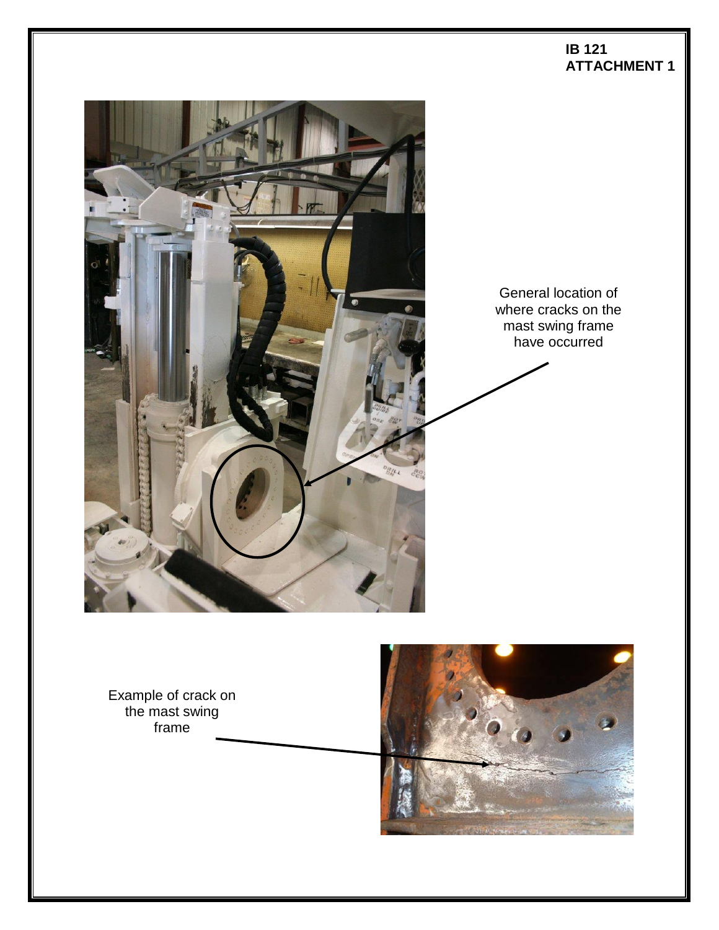

Example of crack on the mast swing frame



**IB 121**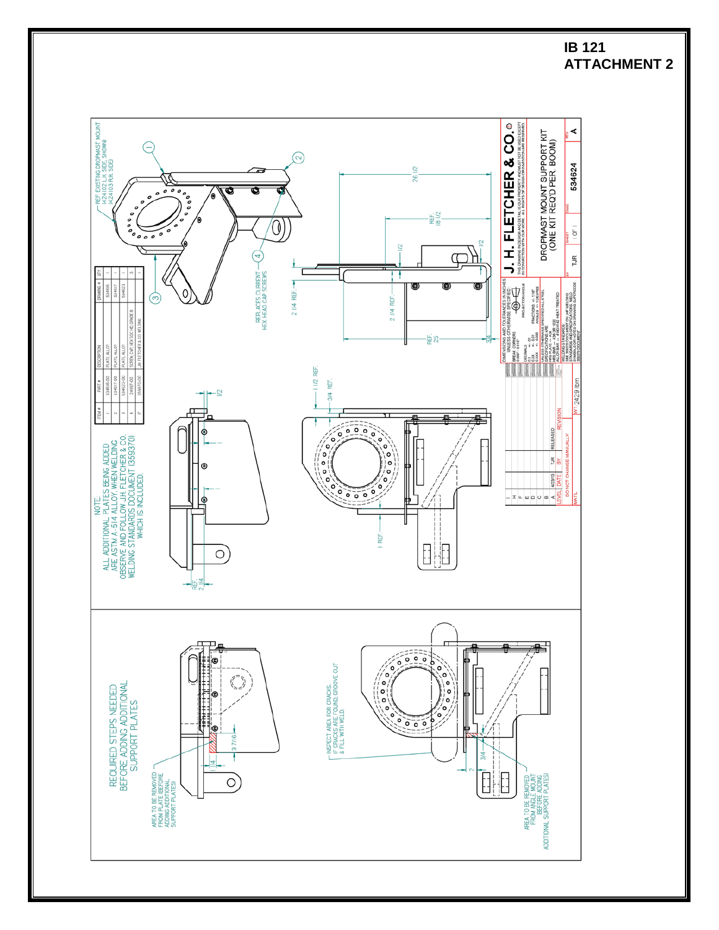

#### **IB 121 ATTACHMENT 2**